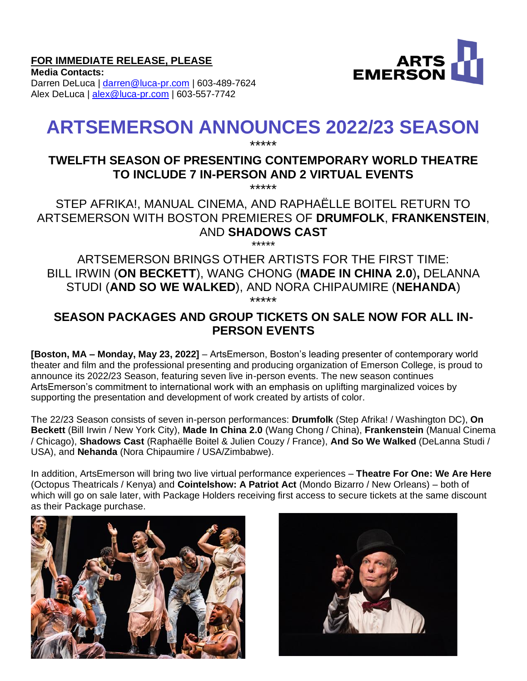## **FOR IMMEDIATE RELEASE, PLEASE**



**Media Contacts:**  Darren DeLuca | [darren@luca-pr.com](mailto:darren@luca-pr.com) | 603-489-7624 Alex DeLuca | [alex@luca-pr.com](mailto:alex@luca-pr.com) | 603-557-7742

# **ARTSEMERSON ANNOUNCES 2022/23 SEASON**

#### \*\*\*\*\* **TWELFTH SEASON OF PRESENTING CONTEMPORARY WORLD THEATRE TO INCLUDE 7 IN-PERSON AND 2 VIRTUAL EVENTS** \*\*\*\*\*

STEP AFRIKA!, MANUAL CINEMA, AND RAPHAËLLE BOITEL RETURN TO ARTSEMERSON WITH BOSTON PREMIERES OF **DRUMFOLK**, **FRANKENSTEIN**, AND **SHADOWS CAST**

\*\*\*\*\* ARTSEMERSON BRINGS OTHER ARTISTS FOR THE FIRST TIME: BILL IRWIN (**ON BECKETT**), WANG CHONG (**MADE IN CHINA 2.0**)**,** DELANNA STUDI (**AND SO WE WALKED**), AND NORA CHIPAUMIRE (**NEHANDA**) \*\*\*\*\*

# **SEASON PACKAGES AND GROUP TICKETS ON SALE NOW FOR ALL IN-PERSON EVENTS**

**[Boston, MA – Monday, May 23, 2022]** – ArtsEmerson, Boston's leading presenter of contemporary world theater and film and the professional presenting and producing organization of Emerson College, is proud to announce its 2022/23 Season, featuring seven live in-person events. The new season continues ArtsEmerson's commitment to international work with an emphasis on uplifting marginalized voices by supporting the presentation and development of work created by artists of color.

The 22/23 Season consists of seven in-person performances: **Drumfolk** (Step Afrika! / Washington DC), **On Beckett** (Bill Irwin / New York City), **Made In China 2.0** (Wang Chong / China), **Frankenstein** (Manual Cinema / Chicago), **Shadows Cast** (Raphaëlle Boitel & Julien Couzy / France), **And So We Walked** (DeLanna Studi / USA), and **Nehanda** (Nora Chipaumire / USA/Zimbabwe).

In addition, ArtsEmerson will bring two live virtual performance experiences – **Theatre For One: We Are Here**  (Octopus Theatricals / Kenya) and **Cointelshow: A Patriot Act** (Mondo Bizarro / New Orleans) – both of which will go on sale later, with Package Holders receiving first access to secure tickets at the same discount as their Package purchase.



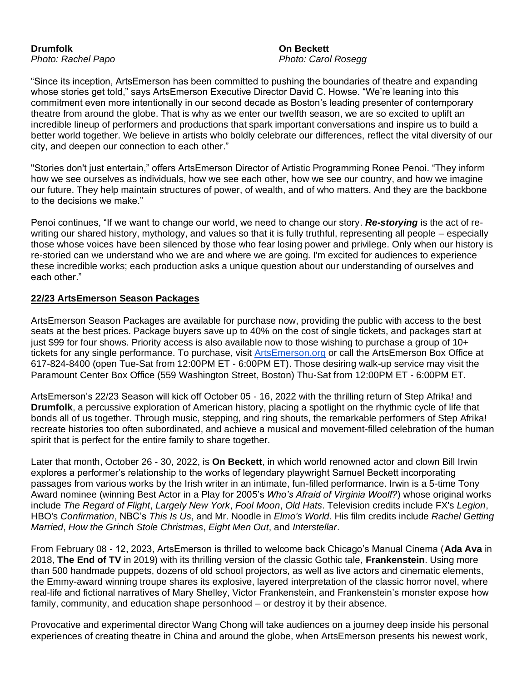## **Drumfolk On Beckett**

*Photo: Rachel Papo Photo: Carol Rosegg*

"Since its inception, ArtsEmerson has been committed to pushing the boundaries of theatre and expanding whose stories get told," says ArtsEmerson Executive Director David C. Howse. "We're leaning into this commitment even more intentionally in our second decade as Boston's leading presenter of contemporary theatre from around the globe. That is why as we enter our twelfth season, we are so excited to uplift an incredible lineup of performers and productions that spark important conversations and inspire us to build a better world together. We believe in artists who boldly celebrate our differences, reflect the vital diversity of our city, and deepen our connection to each other."

"Stories don't just entertain," offers ArtsEmerson Director of Artistic Programming Ronee Penoi. "They inform how we see ourselves as individuals, how we see each other, how we see our country, and how we imagine our future. They help maintain structures of power, of wealth, and of who matters. And they are the backbone to the decisions we make."

Penoi continues, "If we want to change our world, we need to change our story. *Re-storying* is the act of rewriting our shared history, mythology, and values so that it is fully truthful, representing all people – especially those whose voices have been silenced by those who fear losing power and privilege. Only when our history is re-storied can we understand who we are and where we are going. I'm excited for audiences to experience these incredible works; each production asks a unique question about our understanding of ourselves and each other."

#### **22/23 ArtsEmerson Season Packages**

ArtsEmerson Season Packages are available for purchase now, providing the public with access to the best seats at the best prices. Package buyers save up to 40% on the cost of single tickets, and packages start at just \$99 for four shows. Priority access is also available now to those wishing to purchase a group of 10+ tickets for any single performance. To purchase, visit [ArtsEmerson.org](https://artsemerson.org/Online/default.asp#email) or call the ArtsEmerson Box Office at 617-824-8400 (open Tue-Sat from 12:00PM ET - 6:00PM ET). Those desiring walk-up service may visit the Paramount Center Box Office (559 Washington Street, Boston) Thu-Sat from 12:00PM ET - 6:00PM ET.

ArtsEmerson's 22/23 Season will kick off October 05 - 16, 2022 with the thrilling return of Step Afrika! and **Drumfolk**, a percussive exploration of American history, placing a spotlight on the rhythmic cycle of life that bonds all of us together. Through music, stepping, and ring shouts, the remarkable performers of Step Afrika! recreate histories too often subordinated, and achieve a musical and movement-filled celebration of the human spirit that is perfect for the entire family to share together.

Later that month, October 26 - 30, 2022, is **On Beckett**, in which world renowned actor and clown Bill Irwin explores a performer's relationship to the works of legendary playwright Samuel Beckett incorporating passages from various works by the Irish writer in an intimate, fun-filled performance. Irwin is a 5-time Tony Award nominee (winning Best Actor in a Play for 2005's *Who's Afraid of Virginia Woolf?*) whose original works include *The Regard of Flight*, *Largely New York*, *Fool Moon*, *Old Hats*. Television credits include FX's *Legion*, HBO's *Confirmation*, NBC's *This Is Us*, and Mr. Noodle in *Elmo's World*. His film credits include *Rachel Getting Married*, *How the Grinch Stole Christmas*, *Eight Men Out*, and *Interstellar*.

From February 08 - 12, 2023, ArtsEmerson is thrilled to welcome back Chicago's Manual Cinema (**Ada Ava** in 2018, **The End of TV** in 2019) with its thrilling version of the classic Gothic tale, **Frankenstein**. Using more than 500 handmade puppets, dozens of old school projectors, as well as live actors and cinematic elements, the Emmy-award winning troupe shares its explosive, layered interpretation of the classic horror novel, where real-life and fictional narratives of Mary Shelley, Victor Frankenstein, and Frankenstein's monster expose how family, community, and education shape personhood – or destroy it by their absence.

Provocative and experimental director Wang Chong will take audiences on a journey deep inside his personal experiences of creating theatre in China and around the globe, when ArtsEmerson presents his newest work,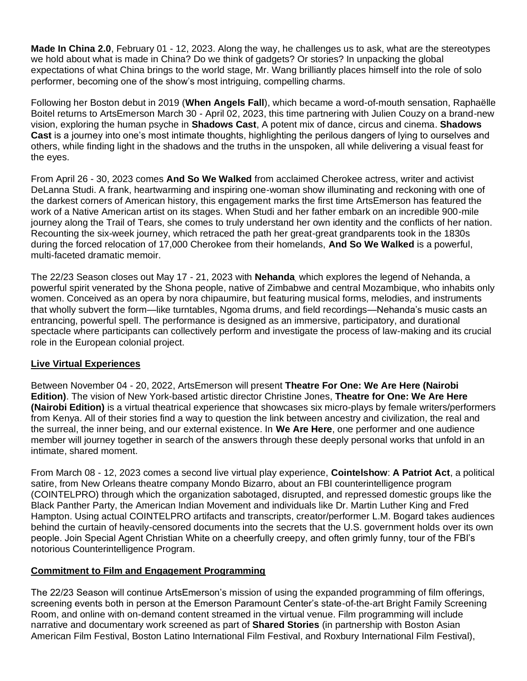**Made In China 2.0**, February 01 - 12, 2023. Along the way, he challenges us to ask, what are the stereotypes we hold about what is made in China? Do we think of gadgets? Or stories? In unpacking the global expectations of what China brings to the world stage, Mr. Wang brilliantly places himself into the role of solo performer, becoming one of the show's most intriguing, compelling charms.

Following her Boston debut in 2019 (**When Angels Fall**), which became a word-of-mouth sensation, Raphaëlle Boitel returns to ArtsEmerson March 30 - April 02, 2023, this time partnering with Julien Couzy on a brand-new vision, exploring the human psyche in **Shadows Cast**, A potent mix of dance, circus and cinema. **Shadows Cast** is a journey into one's most intimate thoughts, highlighting the perilous dangers of lying to ourselves and others, while finding light in the shadows and the truths in the unspoken, all while delivering a visual feast for the eyes.

From April 26 - 30, 2023 comes **And So We Walked** from acclaimed Cherokee actress, writer and activist DeLanna Studi. A frank, heartwarming and inspiring one-woman show illuminating and reckoning with one of the darkest corners of American history, this engagement marks the first time ArtsEmerson has featured the work of a Native American artist on its stages. When Studi and her father embark on an incredible 900-mile journey along the Trail of Tears, she comes to truly understand her own identity and the conflicts of her nation. Recounting the six-week journey, which retraced the path her great-great grandparents took in the 1830s during the forced relocation of 17,000 Cherokee from their homelands, **And So We Walked** is a powerful, multi-faceted dramatic memoir.

The 22/23 Season closes out May 17 - 21, 2023 with **Nehanda**, which explores the legend of Nehanda, a powerful spirit venerated by the Shona people, native of Zimbabwe and central Mozambique, who inhabits only women. Conceived as an opera by nora chipaumire, but featuring musical forms, melodies, and instruments that wholly subvert the form—like turntables, Ngoma drums, and field recordings—Nehanda's music casts an entrancing, powerful spell. The performance is designed as an immersive, participatory, and durational spectacle where participants can collectively perform and investigate the process of law-making and its crucial role in the European colonial project.

#### **Live Virtual Experiences**

Between November 04 - 20, 2022, ArtsEmerson will present **Theatre For One: We Are Here (Nairobi Edition)**. The vision of New York-based artistic director Christine Jones, **Theatre for One: We Are Here (Nairobi Edition)** is a virtual theatrical experience that showcases six micro-plays by female writers/performers from Kenya. All of their stories find a way to question the link between ancestry and civilization, the real and the surreal, the inner being, and our external existence. In **We Are Here**, one performer and one audience member will journey together in search of the answers through these deeply personal works that unfold in an intimate, shared moment.

From March 08 - 12, 2023 comes a second live virtual play experience, **Cointelshow**: **A Patriot Act**, a political satire, from New Orleans theatre company Mondo Bizarro, about an FBI counterintelligence program (COINTELPRO) through which the organization sabotaged, disrupted, and repressed domestic groups like the Black Panther Party, the American Indian Movement and individuals like Dr. Martin Luther King and Fred Hampton. Using actual COINTELPRO artifacts and transcripts, creator/performer L.M. Bogard takes audiences behind the curtain of heavily-censored documents into the secrets that the U.S. government holds over its own people. Join Special Agent Christian White on a cheerfully creepy, and often grimly funny, tour of the FBI's notorious Counterintelligence Program.

#### **Commitment to Film and Engagement Programming**

The 22/23 Season will continue ArtsEmerson's mission of using the expanded programming of film offerings, screening events both in person at the Emerson Paramount Center's state-of-the-art Bright Family Screening Room, and online with on-demand content streamed in the virtual venue. Film programming will include narrative and documentary work screened as part of **Shared Stories** (in partnership with Boston Asian American Film Festival, Boston Latino International Film Festival, and Roxbury International Film Festival),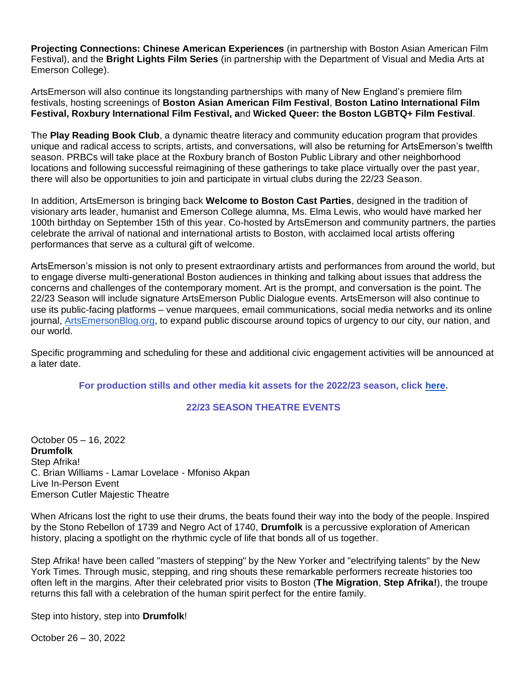**Projecting Connections: Chinese American Experiences** (in partnership with Boston Asian American Film Festival), and the **Bright Lights Film Series** (in partnership with the Department of Visual and Media Arts at Emerson College).

ArtsEmerson will also continue its longstanding partnerships with many of New England's premiere film festivals, hosting screenings of **Boston Asian American Film Festival**, **Boston Latino International Film Festival, Roxbury International Film Festival, a**nd **Wicked Queer: the Boston LGBTQ+ Film Festival**.

The **Play Reading Book Club**, a dynamic theatre literacy and community education program that provides unique and radical access to scripts, artists, and conversations, will also be returning for ArtsEmerson's twelfth season. PRBCs will take place at the Roxbury branch of Boston Public Library and other neighborhood locations and following successful reimagining of these gatherings to take place virtually over the past year, there will also be opportunities to join and participate in virtual clubs during the 22/23 Season.

In addition, ArtsEmerson is bringing back **Welcome to Boston Cast Parties**, designed in the tradition of visionary arts leader, humanist and Emerson College alumna, Ms. Elma Lewis, who would have marked her 100th birthday on September 15th of this year. Co-hosted by ArtsEmerson and community partners, the parties celebrate the arrival of national and international artists to Boston, with acclaimed local artists offering performances that serve as a cultural gift of welcome.

ArtsEmerson's mission is not only to present extraordinary artists and performances from around the world, but to engage diverse multi-generational Boston audiences in thinking and talking about issues that address the concerns and challenges of the contemporary moment. Art is the prompt, and conversation is the point. The 22/23 Season will include signature ArtsEmerson Public Dialogue events. ArtsEmerson will also continue to use its public-facing platforms – venue marquees, email communications, social media networks and its online journal, [ArtsEmersonBlog.org,](http://artsemersonblog.org/) to expand public discourse around topics of urgency to our city, our nation, and our world.

Specific programming and scheduling for these and additional civic engagement activities will be announced at a later date.

**For production stills and other media kit assets for the 2022/23 season, click [here.](https://artsemerson.org/2223-media-kit/)**

#### **22/23 SEASON THEATRE EVENTS**

October 05 – 16, 2022 **Drumfolk** Step Afrika! C. Brian Williams - Lamar Lovelace - Mfoniso Akpan Live In-Person Event Emerson Cutler Majestic Theatre

When Africans lost the right to use their drums, the beats found their way into the body of the people. Inspired by the Stono Rebellon of 1739 and Negro Act of 1740, **Drumfolk** is a percussive exploration of American history, placing a spotlight on the rhythmic cycle of life that bonds all of us together.

Step Afrika! have been called "masters of stepping" by the New Yorker and "electrifying talents" by the New York Times. Through music, stepping, and ring shouts these remarkable performers recreate histories too often left in the margins. After their celebrated prior visits to Boston (**The Migration**, **Step Afrika!**), the troupe returns this fall with a celebration of the human spirit perfect for the entire family.

Step into history, step into **Drumfolk**!

October 26 – 30, 2022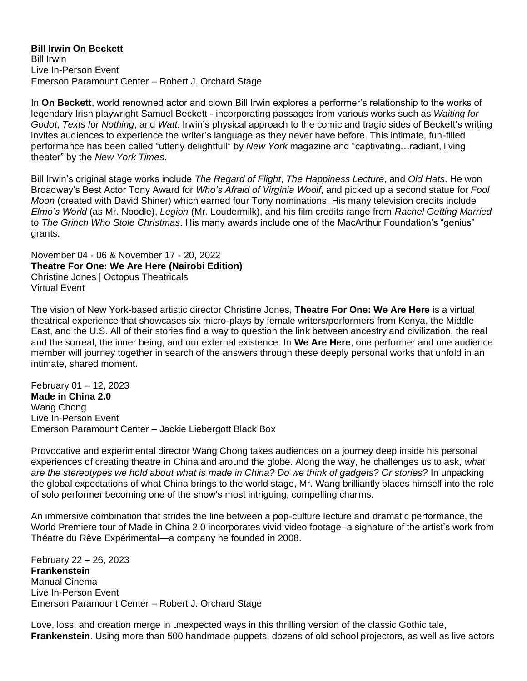**Bill Irwin On Beckett** Bill Irwin Live In-Person Event Emerson Paramount Center – Robert J. Orchard Stage

In **On Beckett**, world renowned actor and clown Bill Irwin explores a performer's relationship to the works of legendary Irish playwright Samuel Beckett - incorporating passages from various works such as *Waiting for Godot*, *Texts for Nothing*, and *Watt*. Irwin's physical approach to the comic and tragic sides of Beckett's writing invites audiences to experience the writer's language as they never have before. This intimate, fun-filled performance has been called "utterly delightful!" by *New York* magazine and "captivating…radiant, living theater" by the *New York Times*.

Bill Irwin's original stage works include *The Regard of Flight*, *The Happiness Lecture*, and *Old Hats*. He won Broadway's Best Actor Tony Award for *Who's Afraid of Virginia Woolf*, and picked up a second statue for *Fool Moon* (created with David Shiner) which earned four Tony nominations. His many television credits include *Elmo's World* (as Mr. Noodle), *Legion* (Mr. Loudermilk), and his film credits range from *Rachel Getting Married* to *The Grinch Who Stole Christmas*. His many awards include one of the MacArthur Foundation's "genius" grants.

November 04 - 06 & November 17 - 20, 2022 **Theatre For One: We Are Here (Nairobi Edition)** Christine Jones | Octopus Theatricals Virtual Event

The vision of New York-based artistic director Christine Jones, **Theatre For One: We Are Here** is a virtual theatrical experience that showcases six micro-plays by female writers/performers from Kenya, the Middle East, and the U.S. All of their stories find a way to question the link between ancestry and civilization, the real and the surreal, the inner being, and our external existence. In **We Are Here**, one performer and one audience member will journey together in search of the answers through these deeply personal works that unfold in an intimate, shared moment.

February 01 – 12, 2023 **Made in China 2.0** Wang Chong Live In-Person Event Emerson Paramount Center – Jackie Liebergott Black Box

Provocative and experimental director Wang Chong takes audiences on a journey deep inside his personal experiences of creating theatre in China and around the globe. Along the way, he challenges us to ask, *what are the stereotypes we hold about what is made in China? Do we think of gadgets? Or stories?* In unpacking the global expectations of what China brings to the world stage, Mr. Wang brilliantly places himself into the role of solo performer becoming one of the show's most intriguing, compelling charms.

An immersive combination that strides the line between a pop-culture lecture and dramatic performance, the World Premiere tour of Made in China 2.0 incorporates vivid video footage–a signature of the artist's work from Théatre du Rêve Expérimental—a company he founded in 2008.

February 22 – 26, 2023 **Frankenstein** Manual Cinema Live In-Person Event Emerson Paramount Center – Robert J. Orchard Stage

Love, loss, and creation merge in unexpected ways in this thrilling version of the classic Gothic tale, **Frankenstein**. Using more than 500 handmade puppets, dozens of old school projectors, as well as live actors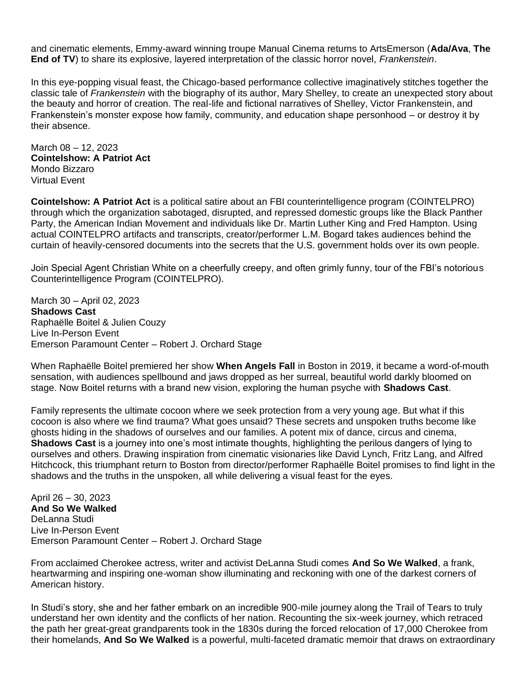and cinematic elements, Emmy-award winning troupe Manual Cinema returns to ArtsEmerson (**Ada/Ava**, **The End of TV**) to share its explosive, layered interpretation of the classic horror novel, *Frankenstein*.

In this eye-popping visual feast, the Chicago-based performance collective imaginatively stitches together the classic tale of *Frankenstein* with the biography of its author, Mary Shelley, to create an unexpected story about the beauty and horror of creation. The real-life and fictional narratives of Shelley, Victor Frankenstein, and Frankenstein's monster expose how family, community, and education shape personhood – or destroy it by their absence.

March 08 – 12, 2023 **Cointelshow: A Patriot Act** Mondo Bizzaro Virtual Event

**Cointelshow: A Patriot Act** is a political satire about an FBI counterintelligence program (COINTELPRO) through which the organization sabotaged, disrupted, and repressed domestic groups like the Black Panther Party, the American Indian Movement and individuals like Dr. Martin Luther King and Fred Hampton. Using actual COINTELPRO artifacts and transcripts, creator/performer L.M. Bogard takes audiences behind the curtain of heavily-censored documents into the secrets that the U.S. government holds over its own people.

Join Special Agent Christian White on a cheerfully creepy, and often grimly funny, tour of the FBI's notorious Counterintelligence Program (COINTELPRO).

March 30 – April 02, 2023 **Shadows Cast** Raphaëlle Boitel & Julien Couzy Live In-Person Event Emerson Paramount Center – Robert J. Orchard Stage

When Raphaëlle Boitel premiered her show **When Angels Fall** in Boston in 2019, it became a word-of-mouth sensation, with audiences spellbound and jaws dropped as her surreal, beautiful world darkly bloomed on stage. Now Boitel returns with a brand new vision, exploring the human psyche with **Shadows Cast**.

Family represents the ultimate cocoon where we seek protection from a very young age. But what if this cocoon is also where we find trauma? What goes unsaid? These secrets and unspoken truths become like ghosts hiding in the shadows of ourselves and our families. A potent mix of dance, circus and cinema, **Shadows Cast** is a journey into one's most intimate thoughts, highlighting the perilous dangers of lying to ourselves and others. Drawing inspiration from cinematic visionaries like David Lynch, Fritz Lang, and Alfred Hitchcock, this triumphant return to Boston from director/performer Raphaëlle Boitel promises to find light in the shadows and the truths in the unspoken, all while delivering a visual feast for the eyes.

April 26 – 30, 2023 **And So We Walked** Del anna Studi Live In-Person Event Emerson Paramount Center – Robert J. Orchard Stage

From acclaimed Cherokee actress, writer and activist DeLanna Studi comes **And So We Walked**, a frank, heartwarming and inspiring one-woman show illuminating and reckoning with one of the darkest corners of American history.

In Studi's story, she and her father embark on an incredible 900-mile journey along the Trail of Tears to truly understand her own identity and the conflicts of her nation. Recounting the six-week journey, which retraced the path her great-great grandparents took in the 1830s during the forced relocation of 17,000 Cherokee from their homelands, **And So We Walked** is a powerful, multi-faceted dramatic memoir that draws on extraordinary